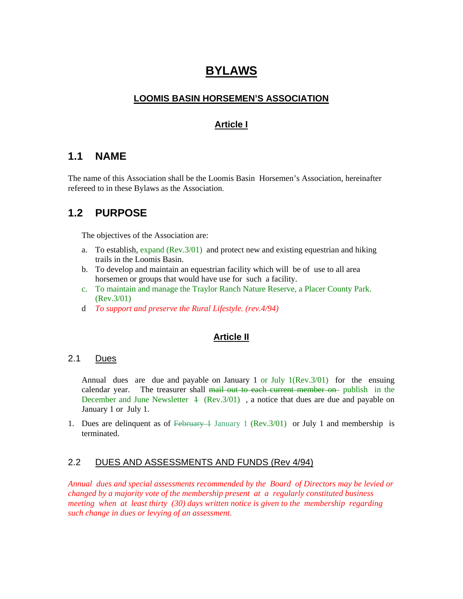# **BYLAWS**

#### **LOOMIS BASIN HORSEMEN'S ASSOCIATION**

### **Article I**

## **1.1 NAME**

The name of this Association shall be the Loomis Basin Horsemen's Association, hereinafter refereed to in these Bylaws as the Association.

# **1.2 PURPOSE**

The objectives of the Association are:

- a. To establish, expand (Rev.3/01) and protect new and existing equestrian and hiking trails in the Loomis Basin.
- b. To develop and maintain an equestrian facility which will be of use to all area horsemen or groups that would have use for such a facility.
- c. To maintain and manage the Traylor Ranch Nature Reserve, a Placer County Park. (Rev.3/01)
- d *To support and preserve the Rural Lifestyle. (rev.4/94)*

### **Article II**

#### 2.1 Dues

Annual dues are due and payable on January 1 or July 1(Rev.3/01) for the ensuing calendar year. The treasurer shall mail out to each current member on publish in the December and June Newsletter  $\pm$  (Rev.3/01), a notice that dues are due and payable on January 1 or July 1.

1. Dues are delinquent as of  $F<sub>ee</sub>$  beganding 1 (Rev. 3/01) or July 1 and membership is terminated.

#### 2.2 DUES AND ASSESSMENTS AND FUNDS (Rev 4/94)

*Annual dues and special assessments recommended by the Board of Directors may be levied or changed by a majority vote of the membership present at a regularly constituted business meeting when at least thirty (30) days written notice is given to the membership regarding such change in dues or levying of an assessment.*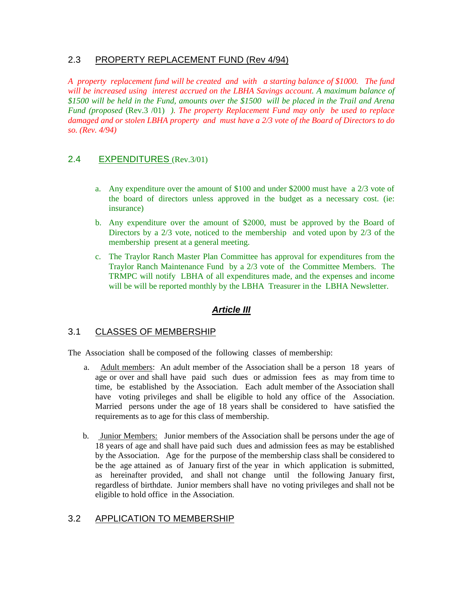#### 2.3 PROPERTY REPLACEMENT FUND (Rev 4/94)

*A property replacement fund will be created and with a starting balance of \$1000. The fund will be increased using interest accrued on the LBHA Savings account. A maximum balance of \$1500 will be held in the Fund, amounts over the \$1500 will be placed in the Trail and Arena Fund (proposed* (Rev.3 /01) *). The property Replacement Fund may only be used to replace damaged and or stolen LBHA property and must have a 2/3 vote of the Board of Directors to do so. (Rev. 4/94)* 

#### 2.4 EXPENDITURES (Rev.3/01)

- a. Any expenditure over the amount of \$100 and under \$2000 must have a 2/3 vote of the board of directors unless approved in the budget as a necessary cost. (ie: insurance)
- b. Any expenditure over the amount of \$2000, must be approved by the Board of Directors by a 2/3 vote, noticed to the membership and voted upon by 2/3 of the membership present at a general meeting.
- c. The Traylor Ranch Master Plan Committee has approval for expenditures from the Traylor Ranch Maintenance Fund by a 2/3 vote of the Committee Members. The TRMPC will notify LBHA of all expenditures made, and the expenses and income will be will be reported monthly by the LBHA Treasurer in the LBHA Newsletter.

#### *Article III*

#### 3.1 CLASSES OF MEMBERSHIP

The Association shall be composed of the following classes of membership:

- a. Adult members: An adult member of the Association shall be a person 18 years of age or over and shall have paid such dues or admission fees as may from time to time, be established by the Association. Each adult member of the Association shall have voting privileges and shall be eligible to hold any office of the Association. Married persons under the age of 18 years shall be considered to have satisfied the requirements as to age for this class of membership.
- b. Junior Members: Junior members of the Association shall be persons under the age of 18 years of age and shall have paid such dues and admission fees as may be established by the Association. Age for the purpose of the membership class shall be considered to be the age attained as of January first of the year in which application is submitted, as hereinafter provided, and shall not change until the following January first, regardless of birthdate. Junior members shall have no voting privileges and shall not be eligible to hold office in the Association.

#### 3.2 APPLICATION TO MEMBERSHIP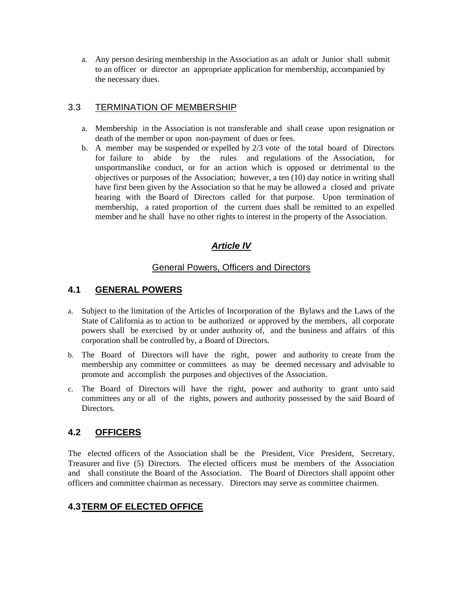a. Any person desiring membership in the Association as an adult or Junior shall submit to an officer or director an appropriate application for membership, accompanied by the necessary dues.

#### 3.3 TERMINATION OF MEMBERSHIP

- a. Membership in the Association is not transferable and shall cease upon resignation or death of the member or upon non-payment of dues or fees.
- b. A member may be suspended or expelled by 2/3 vote of the total board of Directors for failure to abide by the rules and regulations of the Association, for unsportmanslike conduct, or for an action which is opposed or detrimental to the objectives or purposes of the Association; however, a ten (10) day notice in writing shall have first been given by the Association so that he may be allowed a closed and private hearing with the Board of Directors called for that purpose. Upon termination of membership, a rated proportion of the current dues shall be remitted to an expelled member and he shall have no other rights to interest in the property of the Association.

### *Article IV*

#### General Powers, Officers and Directors

### **4.1 GENERAL POWERS**

- a. Subject to the limitation of the Articles of Incorporation of the Bylaws and the Laws of the State of California as to action to be authorized or approved by the members, all corporate powers shall be exercised by or under authority of, and the business and affairs of this corporation shall be controlled by, a Board of Directors.
- b. The Board of Directors will have the right, power and authority to create from the membership any committee or committees as may be deemed necessary and advisable to promote and accomplish the purposes and objectives of the Association.
- c. The Board of Directors will have the right, power and authority to grant unto said committees any or all of the rights, powers and authority possessed by the said Board of Directors.

### **4.2 OFFICERS**

The elected officers of the Association shall be the President, Vice President, Secretary, Treasurer and five (5) Directors. The elected officers must be members of the Association and shall constitute the Board of the Association. The Board of Directors shall appoint other officers and committee chairman as necessary. Directors may serve as committee chairmen.

### **4.3TERM OF ELECTED OFFICE**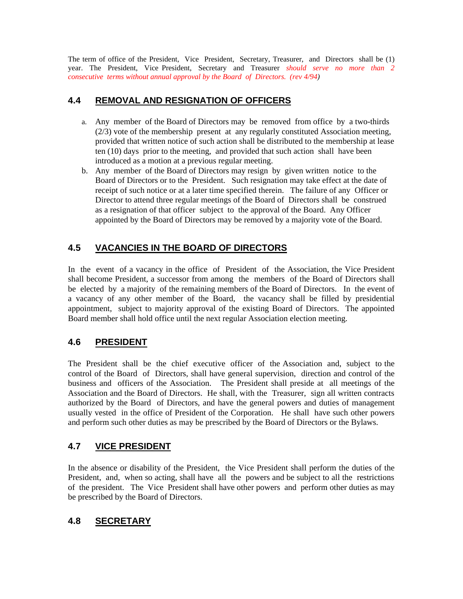The term of office of the President, Vice President, Secretary, Treasurer, and Directors shall be (1) year. The President, Vice President, Secretary and Treasurer *should serve no more than 2 consecutive terms without annual approval by the Board of Directors. (rev 4/94)*

### **4.4 REMOVAL AND RESIGNATION OF OFFICERS**

- a. Any member of the Board of Directors may be removed from office by a two-thirds (2/3) vote of the membership present at any regularly constituted Association meeting, provided that written notice of such action shall be distributed to the membership at lease ten (10) days prior to the meeting, and provided that such action shall have been introduced as a motion at a previous regular meeting.
- b. Any member of the Board of Directors may resign by given written notice to the Board of Directors or to the President. Such resignation may take effect at the date of receipt of such notice or at a later time specified therein. The failure of any Officer or Director to attend three regular meetings of the Board of Directors shall be construed as a resignation of that officer subject to the approval of the Board. Any Officer appointed by the Board of Directors may be removed by a majority vote of the Board.

### **4.5 VACANCIES IN THE BOARD OF DIRECTORS**

In the event of a vacancy in the office of President of the Association, the Vice President shall become President, a successor from among the members of the Board of Directors shall be elected by a majority of the remaining members of the Board of Directors. In the event of a vacancy of any other member of the Board, the vacancy shall be filled by presidential appointment, subject to majority approval of the existing Board of Directors. The appointed Board member shall hold office until the next regular Association election meeting.

### **4.6 PRESIDENT**

The President shall be the chief executive officer of the Association and, subject to the control of the Board of Directors, shall have general supervision, direction and control of the business and officers of the Association. The President shall preside at all meetings of the Association and the Board of Directors. He shall, with the Treasurer, sign all written contracts authorized by the Board of Directors, and have the general powers and duties of management usually vested in the office of President of the Corporation. He shall have such other powers and perform such other duties as may be prescribed by the Board of Directors or the Bylaws.

### **4.7 VICE PRESIDENT**

In the absence or disability of the President, the Vice President shall perform the duties of the President, and, when so acting, shall have all the powers and be subject to all the restrictions of the president. The Vice President shall have other powers and perform other duties as may be prescribed by the Board of Directors.

### **4.8 SECRETARY**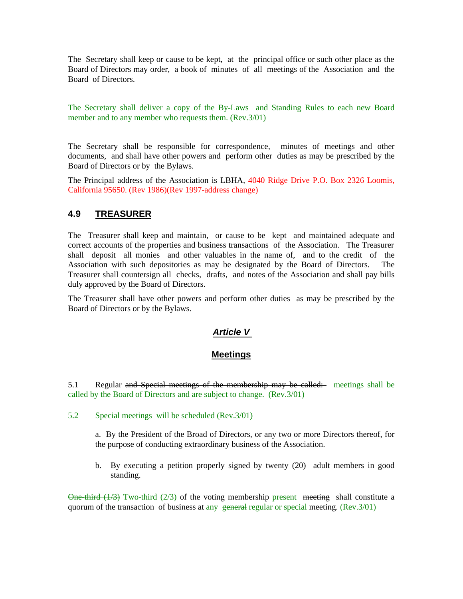The Secretary shall keep or cause to be kept, at the principal office or such other place as the Board of Directors may order, a book of minutes of all meetings of the Association and the Board of Directors.

The Secretary shall deliver a copy of the By-Laws and Standing Rules to each new Board member and to any member who requests them. (Rev. 3/01)

The Secretary shall be responsible for correspondence, minutes of meetings and other documents, and shall have other powers and perform other duties as may be prescribed by the Board of Directors or by the Bylaws.

The Principal address of the Association is LBHA, 4040 Ridge Drive P.O. Box 2326 Loomis, California 95650. (Rev 1986)(Rev 1997-address change)

#### **4.9 TREASURER**

The Treasurer shall keep and maintain, or cause to be kept and maintained adequate and correct accounts of the properties and business transactions of the Association. The Treasurer shall deposit all monies and other valuables in the name of, and to the credit of the Association with such depositories as may be designated by the Board of Directors. The Treasurer shall countersign all checks, drafts, and notes of the Association and shall pay bills duly approved by the Board of Directors.

The Treasurer shall have other powers and perform other duties as may be prescribed by the Board of Directors or by the Bylaws.

#### *Article V*

#### **Meetings**

5.1 Regular and Special meetings of the membership may be called: meetings shall be called by the Board of Directors and are subject to change. (Rev.3/01)

5.2 Special meetings will be scheduled (Rev.3/01)

a. By the President of the Broad of Directors, or any two or more Directors thereof, for the purpose of conducting extraordinary business of the Association.

b. By executing a petition properly signed by twenty (20) adult members in good standing.

One-third  $(1/3)$  Two-third  $(2/3)$  of the voting membership present meeting shall constitute a quorum of the transaction of business at any general regular or special meeting.  $(Rev.3/01)$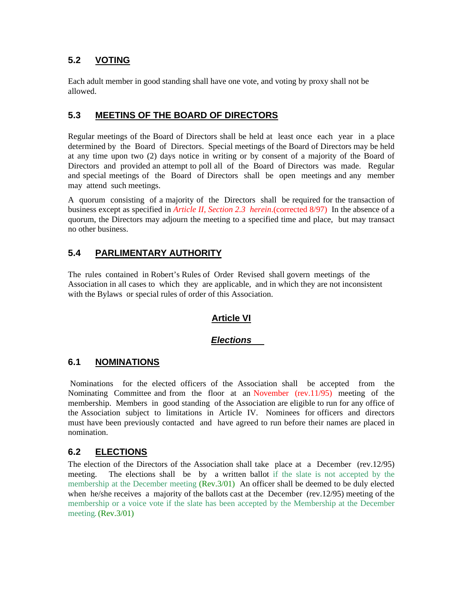### **5.2 VOTING**

Each adult member in good standing shall have one vote, and voting by proxy shall not be allowed.

### **5.3 MEETINS OF THE BOARD OF DIRECTORS**

Regular meetings of the Board of Directors shall be held at least once each year in a place determined by the Board of Directors. Special meetings of the Board of Directors may be held at any time upon two (2) days notice in writing or by consent of a majority of the Board of Directors and provided an attempt to poll all of the Board of Directors was made. Regular and special meetings of the Board of Directors shall be open meetings and any member may attend such meetings.

A quorum consisting of a majority of the Directors shall be required for the transaction of business except as specified in *Article II, Section 2.3 herein*.(corrected 8/97) In the absence of a quorum, the Directors may adjourn the meeting to a specified time and place, but may transact no other business.

### **5.4 PARLIMENTARY AUTHORITY**

The rules contained in Robert's Rules of Order Revised shall govern meetings of the Association in all cases to which they are applicable, and in which they are not inconsistent with the Bylaws or special rules of order of this Association.

#### **Article VI**

#### *Elections*

#### **6.1 NOMINATIONS**

 Nominations for the elected officers of the Association shall be accepted from the Nominating Committee and from the floor at an November (rev.11/95) meeting of the membership. Members in good standing of the Association are eligible to run for any office of the Association subject to limitations in Article IV. Nominees for officers and directors must have been previously contacted and have agreed to run before their names are placed in nomination.

#### **6.2 ELECTIONS**

The election of the Directors of the Association shall take place at a December (rev.12/95) meeting. The elections shall be by a written ballot if the slate is not accepted by the membership at the December meeting (Rev.3/01) An officer shall be deemed to be duly elected when he/she receives a majority of the ballots cast at the December (rev.12/95) meeting of the membership or a voice vote if the slate has been accepted by the Membership at the December meeting**.** (Rev.3/01)